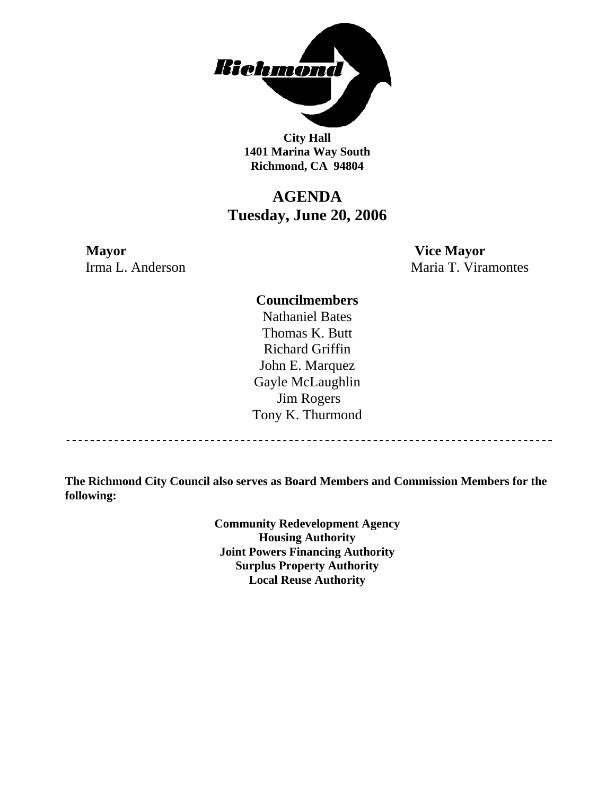

**City Hall 1401 Marina Way South Richmond, CA 94804** 

# **AGENDA Tuesday, June 20, 2006**

**Mayor Vice Mayor** 

Irma L. Anderson Maria T. Viramontes

### **Councilmembers**

Nathaniel Bates Thomas K. Butt Richard Griffin John E. Marquez Gayle McLaughlin Jim Rogers Tony K. Thurmond

------------------------------------

**The Richmond City Council also serves as Board Members and Commission Members for the following:** 

> **Community Redevelopment Agency Housing Authority Joint Powers Financing Authority Surplus Property Authority Local Reuse Authority**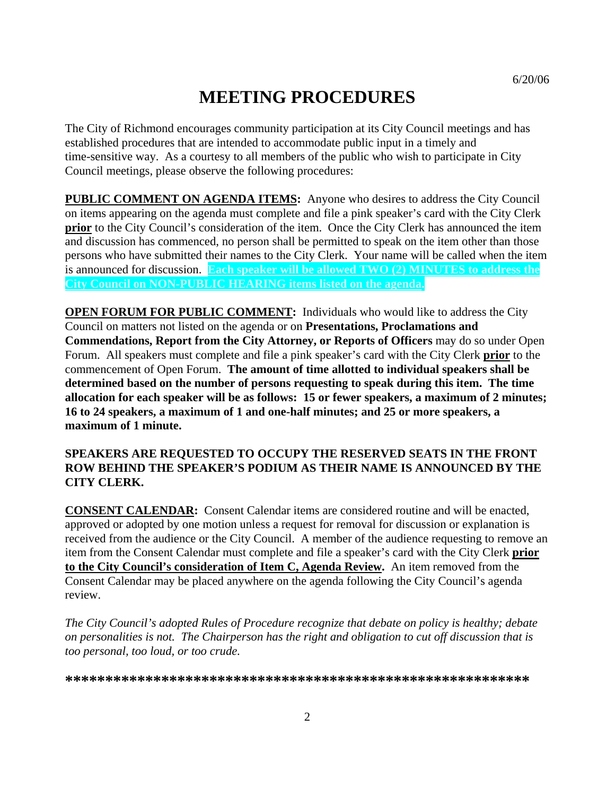# **MEETING PROCEDURES**

The City of Richmond encourages community participation at its City Council meetings and has established procedures that are intended to accommodate public input in a timely and time-sensitive way. As a courtesy to all members of the public who wish to participate in City Council meetings, please observe the following procedures:

**PUBLIC COMMENT ON AGENDA ITEMS:** Anyone who desires to address the City Council on items appearing on the agenda must complete and file a pink speaker's card with the City Clerk **prior** to the City Council's consideration of the item. Once the City Clerk has announced the item and discussion has commenced, no person shall be permitted to speak on the item other than those persons who have submitted their names to the City Clerk. Your name will be called when the item is announced for discussion. **Each speaker will be allowed TWO (2) MINUTES to address the City Council on NON-PUBLIC HEARING items listed on the agenda.** 

**OPEN FORUM FOR PUBLIC COMMENT:** Individuals who would like to address the City Council on matters not listed on the agenda or on **Presentations, Proclamations and Commendations, Report from the City Attorney, or Reports of Officers** may do so under Open Forum. All speakers must complete and file a pink speaker's card with the City Clerk **prior** to the commencement of Open Forum. **The amount of time allotted to individual speakers shall be determined based on the number of persons requesting to speak during this item. The time allocation for each speaker will be as follows: 15 or fewer speakers, a maximum of 2 minutes; 16 to 24 speakers, a maximum of 1 and one-half minutes; and 25 or more speakers, a maximum of 1 minute.** 

### **SPEAKERS ARE REQUESTED TO OCCUPY THE RESERVED SEATS IN THE FRONT ROW BEHIND THE SPEAKER'S PODIUM AS THEIR NAME IS ANNOUNCED BY THE CITY CLERK.**

**CONSENT CALENDAR:** Consent Calendar items are considered routine and will be enacted, approved or adopted by one motion unless a request for removal for discussion or explanation is received from the audience or the City Council. A member of the audience requesting to remove an item from the Consent Calendar must complete and file a speaker's card with the City Clerk **prior to the City Council's consideration of Item C, Agenda Review.** An item removed from the Consent Calendar may be placed anywhere on the agenda following the City Council's agenda review.

*The City Council's adopted Rules of Procedure recognize that debate on policy is healthy; debate on personalities is not. The Chairperson has the right and obligation to cut off discussion that is too personal, too loud, or too crude.* 

**\*\*\*\*\*\*\*\*\*\*\*\*\*\*\*\*\*\*\*\*\*\*\*\*\*\*\*\*\*\*\*\*\*\*\*\*\*\*\*\*\*\*\*\*\*\*\*\*\*\*\*\*\*\*\*\*\*\***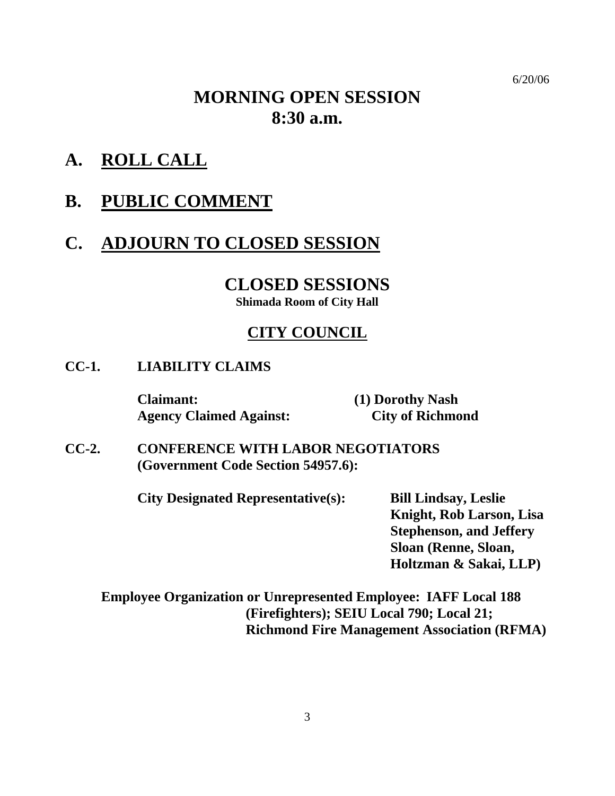6/20/06

# **MORNING OPEN SESSION 8:30 a.m.**

- **A. ROLL CALL**
- **B. PUBLIC COMMENT**

# **C. ADJOURN TO CLOSED SESSION**

# **CLOSED SESSIONS**

**Shimada Room of City Hall** 

# **CITY COUNCIL**

**CC-1. LIABILITY CLAIMS** 

 **Claimant: (1) Dorothy Nash Agency Claimed Against: City of Richmond** 

**CC-2. CONFERENCE WITH LABOR NEGOTIATORS (Government Code Section 54957.6):** 

**City Designated Representative(s): Bill Lindsay, Leslie** 

**Knight, Rob Larson, Lisa Stephenson, and Jeffery Sloan (Renne, Sloan, Holtzman & Sakai, LLP)** 

**Employee Organization or Unrepresented Employee: IAFF Local 188 (Firefighters); SEIU Local 790; Local 21; Richmond Fire Management Association (RFMA)**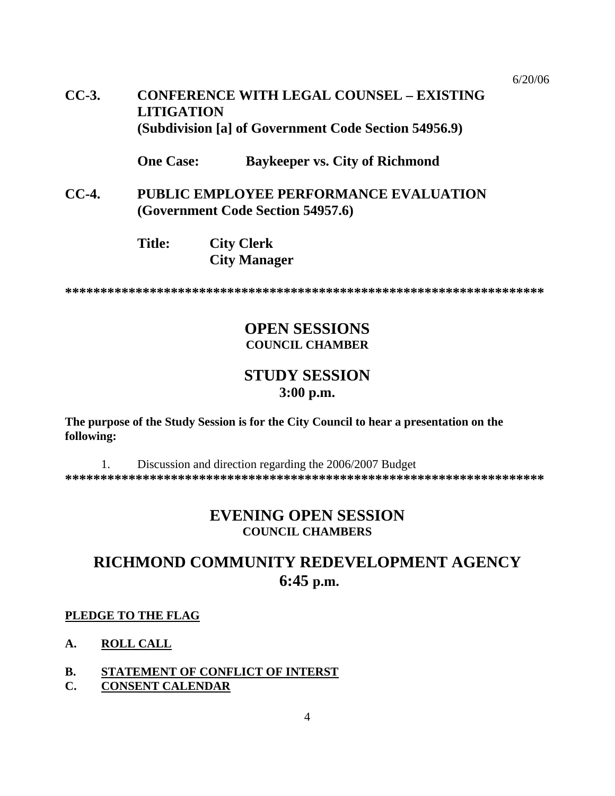#### 6/20/06

# **CC-3. CONFERENCE WITH LEGAL COUNSEL – EXISTING LITIGATION (Subdivision [a] of Government Code Section 54956.9)**

 **One Case: Baykeeper vs. City of Richmond** 

- **CC-4. PUBLIC EMPLOYEE PERFORMANCE EVALUATION (Government Code Section 54957.6)** 
	- **Title: City Clerk City Manager**

**\*\*\*\*\*\*\*\*\*\*\*\*\*\*\*\*\*\*\*\*\*\*\*\*\*\*\*\*\*\*\*\*\*\*\*\*\*\*\*\*\*\*\*\*\*\*\*\*\*\*\*\*\*\*\*\*\*\*\*\*\*\*\*\*\*\*\*\*** 

# **OPEN SESSIONS COUNCIL CHAMBER**

# **STUDY SESSION 3:00 p.m.**

**The purpose of the Study Session is for the City Council to hear a presentation on the following:** 

1. Discussion and direction regarding the 2006/2007 Budget **\*\*\*\*\*\*\*\*\*\*\*\*\*\*\*\*\*\*\*\*\*\*\*\*\*\*\*\*\*\*\*\*\*\*\*\*\*\*\*\*\*\*\*\*\*\*\*\*\*\*\*\*\*\*\*\*\*\*\*\*\*\*\*\*\*\*\*\*** 

# **EVENING OPEN SESSION COUNCIL CHAMBERS**

# **RICHMOND COMMUNITY REDEVELOPMENT AGENCY 6:45 p.m.**

#### **PLEDGE TO THE FLAG**

- **A. ROLL CALL**
- **B. STATEMENT OF CONFLICT OF INTERST**
- **C. CONSENT CALENDAR**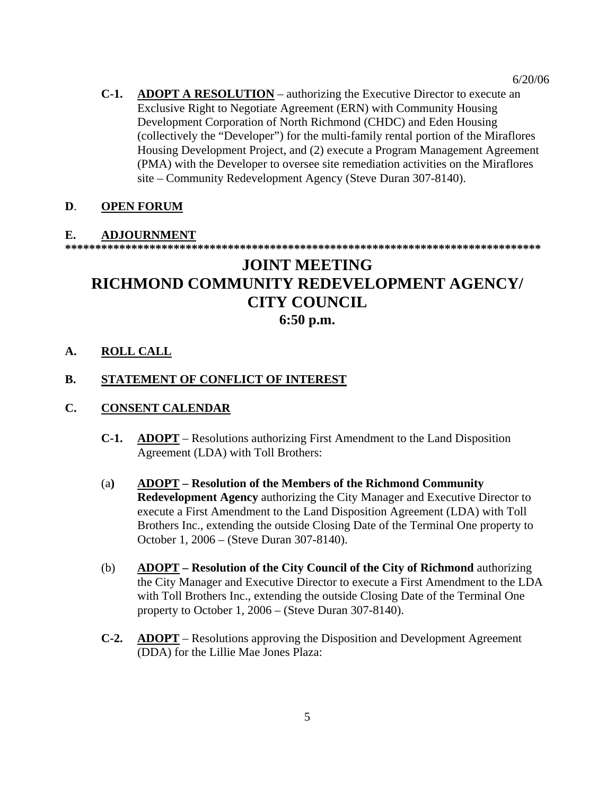**C-1. ADOPT A RESOLUTION** – authorizing the Executive Director to execute an Exclusive Right to Negotiate Agreement (ERN) with Community Housing Development Corporation of North Richmond (CHDC) and Eden Housing (collectively the "Developer") for the multi-family rental portion of the Miraflores Housing Development Project, and (2) execute a Program Management Agreement (PMA) with the Developer to oversee site remediation activities on the Miraflores site – Community Redevelopment Agency (Steve Duran 307-8140).

## **D**. **OPEN FORUM**

## **E. ADJOURNMENT**

**\*\*\*\*\*\*\*\*\*\*\*\*\*\*\*\*\*\*\*\*\*\*\*\*\*\*\*\*\*\*\*\*\*\*\*\*\*\*\*\*\*\*\*\*\*\*\*\*\*\*\*\*\*\*\*\*\*\*\*\*\*\*\*\*\*\*\*\*\*\*\*\*\*\*\*\*\*\*\*** 

# **JOINT MEETING RICHMOND COMMUNITY REDEVELOPMENT AGENCY/ CITY COUNCIL 6:50 p.m.**

### **A. ROLL CALL**

### **B. STATEMENT OF CONFLICT OF INTEREST**

#### **C. CONSENT CALENDAR**

- **C-1. ADOPT** Resolutions authorizing First Amendment to the Land Disposition Agreement (LDA) with Toll Brothers:
- (a**) ADOPT Resolution of the Members of the Richmond Community Redevelopment Agency** authorizing the City Manager and Executive Director to execute a First Amendment to the Land Disposition Agreement (LDA) with Toll Brothers Inc., extending the outside Closing Date of the Terminal One property to October 1, 2006 – (Steve Duran 307-8140).
- (b) **ADOPT Resolution of the City Council of the City of Richmond** authorizing the City Manager and Executive Director to execute a First Amendment to the LDA with Toll Brothers Inc., extending the outside Closing Date of the Terminal One property to October 1, 2006 – (Steve Duran 307-8140).
- **C-2. ADOPT** Resolutions approving the Disposition and Development Agreement (DDA) for the Lillie Mae Jones Plaza: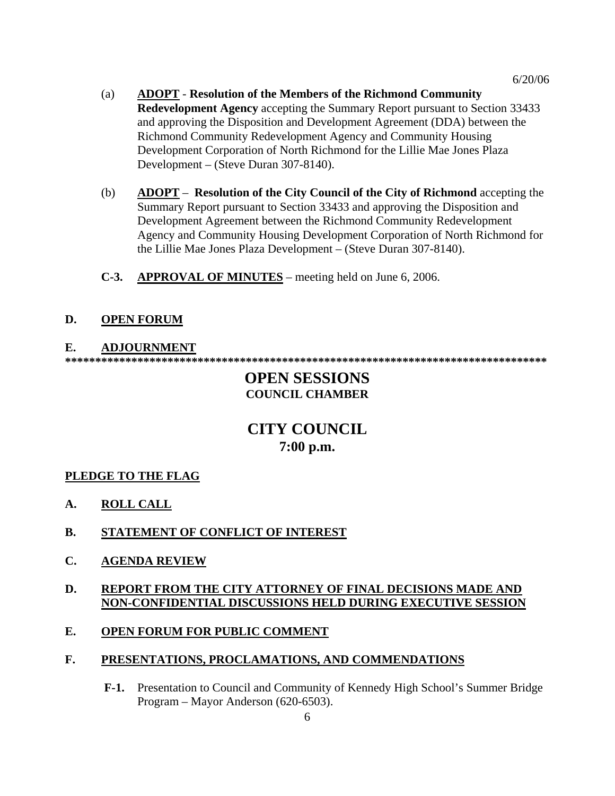- (a) **ADOPT Resolution of the Members of the Richmond Community Redevelopment Agency** accepting the Summary Report pursuant to Section 33433 and approving the Disposition and Development Agreement (DDA) between the Richmond Community Redevelopment Agency and Community Housing Development Corporation of North Richmond for the Lillie Mae Jones Plaza Development – (Steve Duran 307-8140).
- (b) **ADOPT Resolution of the City Council of the City of Richmond** accepting the Summary Report pursuant to Section 33433 and approving the Disposition and Development Agreement between the Richmond Community Redevelopment Agency and Community Housing Development Corporation of North Richmond for the Lillie Mae Jones Plaza Development – (Steve Duran 307-8140).
- **C-3. APPROVAL OF MINUTES** meeting held on June 6, 2006.

### **D. OPEN FORUM**

#### **E. ADJOURNMENT**

**\*\*\*\*\*\*\*\*\*\*\*\*\*\*\*\*\*\*\*\*\*\*\*\*\*\*\*\*\*\*\*\*\*\*\*\*\*\*\*\*\*\*\*\*\*\*\*\*\*\*\*\*\*\*\*\*\*\*\*\*\*\*\*\*\*\*\*\*\*\*\*\*\*\*\*\*\*\*\*\*** 

# **OPEN SESSIONS COUNCIL CHAMBER**

# **CITY COUNCIL 7:00 p.m.**

#### **PLEDGE TO THE FLAG**

- **A. ROLL CALL**
- **B. STATEMENT OF CONFLICT OF INTEREST**
- **C. AGENDA REVIEW**

### **D. REPORT FROM THE CITY ATTORNEY OF FINAL DECISIONS MADE AND NON-CONFIDENTIAL DISCUSSIONS HELD DURING EXECUTIVE SESSION**

### **E. OPEN FORUM FOR PUBLIC COMMENT**

#### **F. PRESENTATIONS, PROCLAMATIONS, AND COMMENDATIONS**

**F-1.** Presentation to Council and Community of Kennedy High School's Summer Bridge Program – Mayor Anderson (620-6503).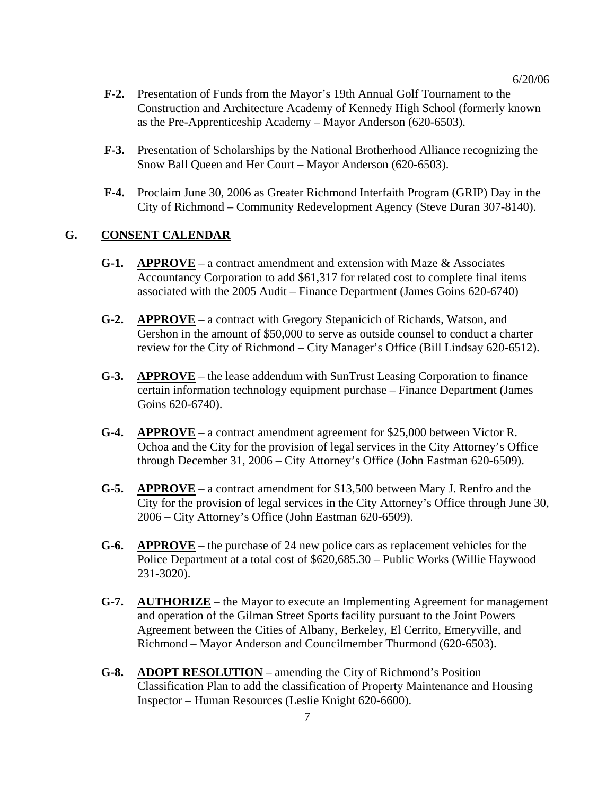- **F-2.** Presentation of Funds from the Mayor's 19th Annual Golf Tournament to the Construction and Architecture Academy of Kennedy High School (formerly known as the Pre-Apprenticeship Academy – Mayor Anderson (620-6503).
- **F-3.** Presentation of Scholarships by the National Brotherhood Alliance recognizing the Snow Ball Queen and Her Court – Mayor Anderson (620-6503).
- **F-4.** Proclaim June 30, 2006 as Greater Richmond Interfaith Program (GRIP) Day in the City of Richmond – Community Redevelopment Agency (Steve Duran 307-8140).

#### **G. CONSENT CALENDAR**

- **G-1. APPROVE** a contract amendment and extension with Maze & Associates Accountancy Corporation to add \$61,317 for related cost to complete final items associated with the 2005 Audit – Finance Department (James Goins 620-6740)
- **G-2. APPROVE** a contract with Gregory Stepanicich of Richards, Watson, and Gershon in the amount of \$50,000 to serve as outside counsel to conduct a charter review for the City of Richmond – City Manager's Office (Bill Lindsay 620-6512).
- **G-3. APPROVE** the lease addendum with SunTrust Leasing Corporation to finance certain information technology equipment purchase – Finance Department (James Goins 620-6740).
- **G-4. APPROVE** a contract amendment agreement for \$25,000 between Victor R. Ochoa and the City for the provision of legal services in the City Attorney's Office through December 31, 2006 – City Attorney's Office (John Eastman 620-6509).
- **G-5. APPROVE** a contract amendment for \$13,500 between Mary J. Renfro and the City for the provision of legal services in the City Attorney's Office through June 30, 2006 – City Attorney's Office (John Eastman 620-6509).
- **G-6. APPROVE** the purchase of 24 new police cars as replacement vehicles for the Police Department at a total cost of \$620,685.30 – Public Works (Willie Haywood 231-3020).
- **G-7. AUTHORIZE** the Mayor to execute an Implementing Agreement for management and operation of the Gilman Street Sports facility pursuant to the Joint Powers Agreement between the Cities of Albany, Berkeley, El Cerrito, Emeryville, and Richmond – Mayor Anderson and Councilmember Thurmond (620-6503).
- **G-8. ADOPT RESOLUTION** amending the City of Richmond's Position Classification Plan to add the classification of Property Maintenance and Housing Inspector – Human Resources (Leslie Knight 620-6600).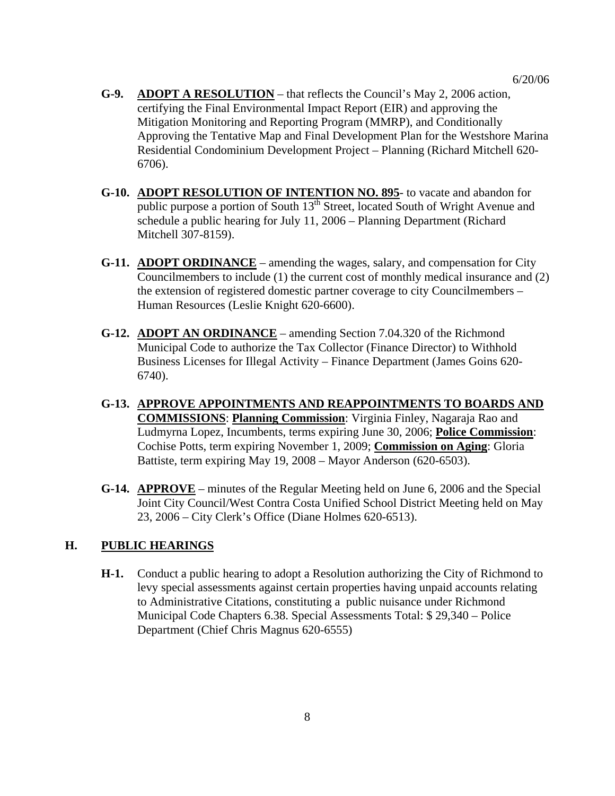- **G-9. ADOPT A RESOLUTION** that reflects the Council's May 2, 2006 action, certifying the Final Environmental Impact Report (EIR) and approving the Mitigation Monitoring and Reporting Program (MMRP), and Conditionally Approving the Tentative Map and Final Development Plan for the Westshore Marina Residential Condominium Development Project – Planning (Richard Mitchell 620- 6706).
- **G-10. ADOPT RESOLUTION OF INTENTION NO. 895** to vacate and abandon for public purpose a portion of South  $13<sup>th</sup>$  Street, located South of Wright Avenue and schedule a public hearing for July 11, 2006 – Planning Department (Richard Mitchell 307-8159).
- **G-11. ADOPT ORDINANCE** amending the wages, salary, and compensation for City Councilmembers to include (1) the current cost of monthly medical insurance and (2) the extension of registered domestic partner coverage to city Councilmembers – Human Resources (Leslie Knight 620-6600).
- **G-12. ADOPT AN ORDINANCE** amending Section 7.04.320 of the Richmond Municipal Code to authorize the Tax Collector (Finance Director) to Withhold Business Licenses for Illegal Activity – Finance Department (James Goins 620- 6740).
- **G-13. APPROVE APPOINTMENTS AND REAPPOINTMENTS TO BOARDS AND COMMISSIONS**: **Planning Commission**: Virginia Finley, Nagaraja Rao and Ludmyrna Lopez, Incumbents, terms expiring June 30, 2006; **Police Commission**: Cochise Potts, term expiring November 1, 2009; **Commission on Aging**: Gloria Battiste, term expiring May 19, 2008 – Mayor Anderson (620-6503).
- **G-14. APPROVE** minutes of the Regular Meeting held on June 6, 2006 and the Special Joint City Council/West Contra Costa Unified School District Meeting held on May 23, 2006 – City Clerk's Office (Diane Holmes 620-6513).

#### **H. PUBLIC HEARINGS**

**H-1.** Conduct a public hearing to adopt a Resolution authorizing the City of Richmond to levy special assessments against certain properties having unpaid accounts relating to Administrative Citations, constituting a public nuisance under Richmond Municipal Code Chapters 6.38. Special Assessments Total: \$ 29,340 – Police Department (Chief Chris Magnus 620-6555)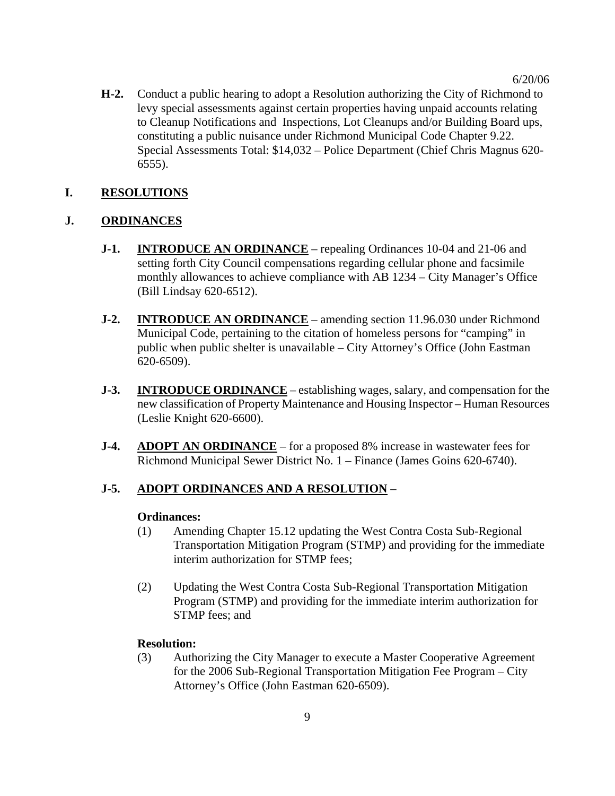**H-2.** Conduct a public hearing to adopt a Resolution authorizing the City of Richmond to levy special assessments against certain properties having unpaid accounts relating to Cleanup Notifications and Inspections, Lot Cleanups and/or Building Board ups, constituting a public nuisance under Richmond Municipal Code Chapter 9.22. Special Assessments Total: \$14,032 – Police Department (Chief Chris Magnus 620- 6555).

### **I. RESOLUTIONS**

## **J. ORDINANCES**

- **J-1. INTRODUCE AN ORDINANCE** repealing Ordinances 10-04 and 21-06 and setting forth City Council compensations regarding cellular phone and facsimile monthly allowances to achieve compliance with AB 1234 – City Manager's Office (Bill Lindsay 620-6512).
- **J-2. INTRODUCE AN ORDINANCE** amending section 11.96.030 under Richmond Municipal Code, pertaining to the citation of homeless persons for "camping" in public when public shelter is unavailable – City Attorney's Office (John Eastman 620-6509).
- **J-3. INTRODUCE ORDINANCE** establishing wages, salary, and compensation for the new classification of Property Maintenance and Housing Inspector – Human Resources (Leslie Knight 620-6600).
- **J-4. ADOPT AN ORDINANCE** for a proposed 8% increase in wastewater fees for Richmond Municipal Sewer District No. 1 – Finance (James Goins 620-6740).

### **J-5. ADOPT ORDINANCES AND A RESOLUTION** –

#### **Ordinances:**

- (1) Amending Chapter 15.12 updating the West Contra Costa Sub-Regional Transportation Mitigation Program (STMP) and providing for the immediate interim authorization for STMP fees;
- (2) Updating the West Contra Costa Sub-Regional Transportation Mitigation Program (STMP) and providing for the immediate interim authorization for STMP fees; and

### **Resolution:**

(3) Authorizing the City Manager to execute a Master Cooperative Agreement for the 2006 Sub-Regional Transportation Mitigation Fee Program – City Attorney's Office (John Eastman 620-6509).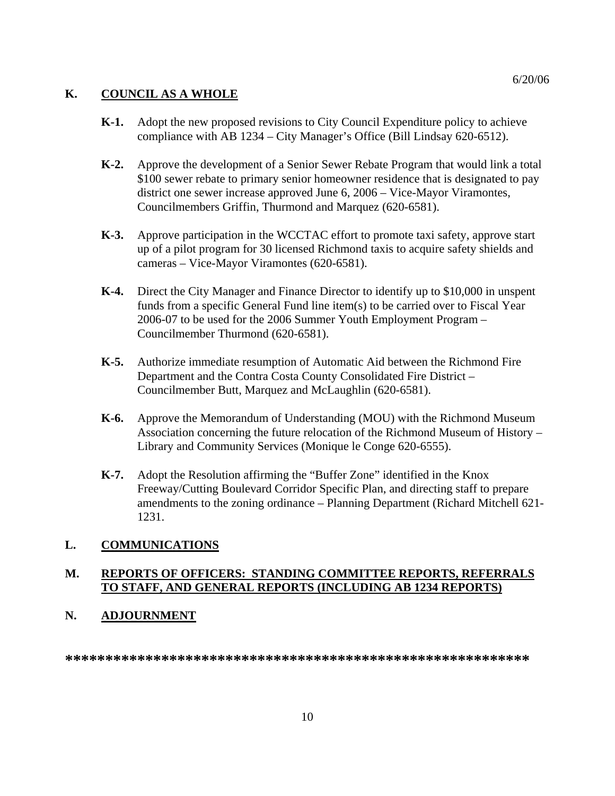## **K. COUNCIL AS A WHOLE**

- **K-1.** Adopt the new proposed revisions to City Council Expenditure policy to achieve compliance with AB 1234 – City Manager's Office (Bill Lindsay 620-6512).
- **K-2.** Approve the development of a Senior Sewer Rebate Program that would link a total \$100 sewer rebate to primary senior homeowner residence that is designated to pay district one sewer increase approved June 6, 2006 – Vice-Mayor Viramontes, Councilmembers Griffin, Thurmond and Marquez (620-6581).
- **K-3.** Approve participation in the WCCTAC effort to promote taxi safety, approve start up of a pilot program for 30 licensed Richmond taxis to acquire safety shields and cameras – Vice-Mayor Viramontes (620-6581).
- **K-4.** Direct the City Manager and Finance Director to identify up to \$10,000 in unspent funds from a specific General Fund line item(s) to be carried over to Fiscal Year 2006-07 to be used for the 2006 Summer Youth Employment Program – Councilmember Thurmond (620-6581).
- **K-5.** Authorize immediate resumption of Automatic Aid between the Richmond Fire Department and the Contra Costa County Consolidated Fire District – Councilmember Butt, Marquez and McLaughlin (620-6581).
- **K-6.** Approve the Memorandum of Understanding (MOU) with the Richmond Museum Association concerning the future relocation of the Richmond Museum of History – Library and Community Services (Monique le Conge 620-6555).
- **K-7.** Adopt the Resolution affirming the "Buffer Zone" identified in the Knox Freeway/Cutting Boulevard Corridor Specific Plan, and directing staff to prepare amendments to the zoning ordinance – Planning Department (Richard Mitchell 621- 1231.

# **L. COMMUNICATIONS**

## **M. REPORTS OF OFFICERS: STANDING COMMITTEE REPORTS, REFERRALS TO STAFF, AND GENERAL REPORTS (INCLUDING AB 1234 REPORTS)**

### **N. ADJOURNMENT**

**\*\*\*\*\*\*\*\*\*\*\*\*\*\*\*\*\*\*\*\*\*\*\*\*\*\*\*\*\*\*\*\*\*\*\*\*\*\*\*\*\*\*\*\*\*\*\*\*\*\*\*\*\*\*\*\*\*\***